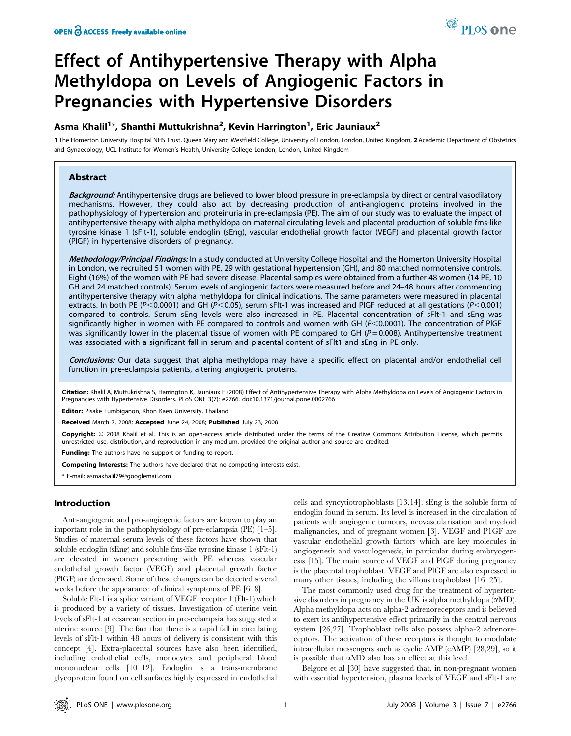# Effect of Antihypertensive Therapy with Alpha Methyldopa on Levels of Angiogenic Factors in Pregnancies with Hypertensive Disorders

## Asma Khalil<sup>1</sup>\*, Shanthi Muttukrishna<sup>2</sup>, Kevin Harrington<sup>1</sup>, Eric Jauniaux<sup>2</sup>

1 The Homerton University Hospital NHS Trust, Queen Mary and Westfield College, University of London, London, United Kingdom, 2 Academic Department of Obstetrics and Gynaecology, UCL Institute for Women's Health, University College London, London, United Kingdom

### Abstract

Background: Antihypertensive drugs are believed to lower blood pressure in pre-eclampsia by direct or central vasodilatory mechanisms. However, they could also act by decreasing production of anti-angiogenic proteins involved in the pathophysiology of hypertension and proteinuria in pre-eclampsia (PE). The aim of our study was to evaluate the impact of antihypertensive therapy with alpha methyldopa on maternal circulating levels and placental production of soluble fms-like tyrosine kinase 1 (sFlt-1), soluble endoglin (sEng), vascular endothelial growth factor (VEGF) and placental growth factor (PlGF) in hypertensive disorders of pregnancy.

Methodology/Principal Findings: In a study conducted at University College Hospital and the Homerton University Hospital in London, we recruited 51 women with PE, 29 with gestational hypertension (GH), and 80 matched normotensive controls. Eight (16%) of the women with PE had severe disease. Placental samples were obtained from a further 48 women (14 PE, 10 GH and 24 matched controls). Serum levels of angiogenic factors were measured before and 24–48 hours after commencing antihypertensive therapy with alpha methyldopa for clinical indications. The same parameters were measured in placental extracts. In both PE (P<0.0001) and GH (P<0.05), serum sFlt-1 was increased and PlGF reduced at all gestations (P<0.001) compared to controls. Serum sEng levels were also increased in PE. Placental concentration of sFlt-1 and sEng was significantly higher in women with PE compared to controls and women with GH ( $P$ <0.0001). The concentration of PlGF was significantly lower in the placental tissue of women with PE compared to GH ( $P = 0.008$ ). Antihypertensive treatment was associated with a significant fall in serum and placental content of sFlt1 and sEng in PE only.

Conclusions: Our data suggest that alpha methyldopa may have a specific effect on placental and/or endothelial cell function in pre-eclampsia patients, altering angiogenic proteins.

Citation: Khalil A, Muttukrishna S, Harrington K, Jauniaux E (2008) Effect of Antihypertensive Therapy with Alpha Methyldopa on Levels of Angiogenic Factors in Pregnancies with Hypertensive Disorders. PLoS ONE 3(7): e2766. doi:10.1371/journal.pone.0002766

Editor: Pisake Lumbiganon, Khon Kaen University, Thailand

Received March 7, 2008; Accepted June 24, 2008; Published July 23, 2008

Copyright: © 2008 Khalil et al. This is an open-access article distributed under the terms of the Creative Commons Attribution License, which permits unrestricted use, distribution, and reproduction in any medium, provided the original author and source are credited.

Funding: The authors have no support or funding to report.

Competing Interests: The authors have declared that no competing interests exist.

\* E-mail: asmakhalil79@googlemail.com

## Introduction

Anti-angiogenic and pro-angiogenic factors are known to play an important role in the pathophysiology of pre-eclampsia (PE) [1–5]. Studies of maternal serum levels of these factors have shown that soluble endoglin (sEng) and soluble fms-like tyrosine kinase 1 (sFlt-1) are elevated in women presenting with PE whereas vascular endothelial growth factor (VEGF) and placental growth factor (PlGF) are decreased. Some of these changes can be detected several weeks before the appearance of clinical symptoms of PE [6–8].

Soluble Flt-1 is a splice variant of VEGF receptor 1 (Flt-1) which is produced by a variety of tissues. Investigation of uterine vein levels of sFlt-1 at cesarean section in pre-eclampsia has suggested a uterine source [9]. The fact that there is a rapid fall in circulating levels of sFlt-1 within 48 hours of delivery is consistent with this concept [4]. Extra-placental sources have also been identified, including endothelial cells, monocytes and peripheral blood mononuclear cells [10–12]. Endoglin is a trans-membrane glycoprotein found on cell surfaces highly expressed in endothelial cells and syncytiotrophoblasts [13,14]. sEng is the soluble form of endoglin found in serum. Its level is increased in the circulation of patients with angiogenic tumours, neovascularisation and myeloid malignancies, and of pregnant women [3]. VEGF and P1GF are vascular endothelial growth factors which are key molecules in angiogenesis and vasculogenesis, in particular during embryogenesis [15]. The main source of VEGF and PlGF during pregnancy is the placental trophoblast. VEGF and PlGF are also expressed in many other tissues, including the villous trophoblast [16–25].

The most commonly used drug for the treatment of hypertensive disorders in pregnancy in the UK is alpha methyldopa  $(\alpha M)$ . Alpha methyldopa acts on alpha-2 adrenoreceptors and is believed to exert its antihypertensive effect primarily in the central nervous system [26,27]. Trophoblast cells also possess alpha-2 adrenoreceptors. The activation of these receptors is thought to modulate intracellular messengers such as cyclic AMP (cAMP) [28,29], so it is possible that aMD also has an effect at this level.

Belgore et al [30] have suggested that, in non-pregnant women with essential hypertension, plasma levels of VEGF and sFlt-1 are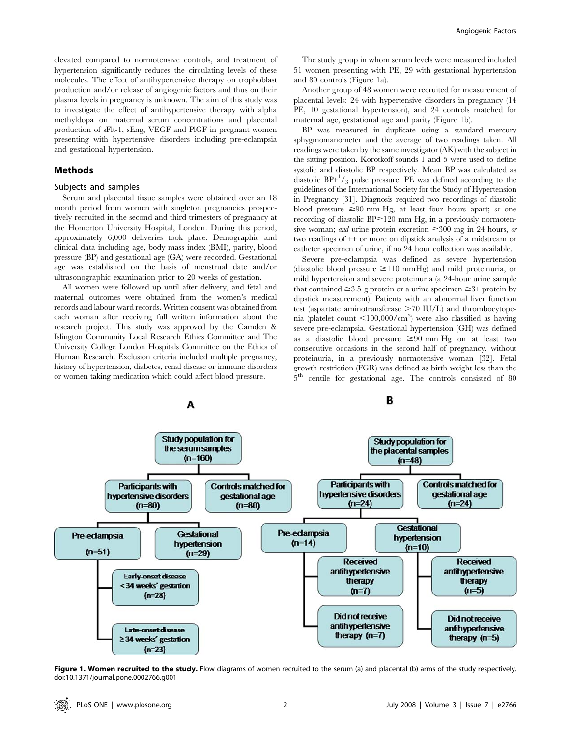elevated compared to normotensive controls, and treatment of hypertension significantly reduces the circulating levels of these molecules. The effect of antihypertensive therapy on trophoblast production and/or release of angiogenic factors and thus on their plasma levels in pregnancy is unknown. The aim of this study was to investigate the effect of antihypertensive therapy with alpha methyldopa on maternal serum concentrations and placental production of sFlt-1, sEng, VEGF and PlGF in pregnant women presenting with hypertensive disorders including pre-eclampsia and gestational hypertension.

## Methods

## Subjects and samples

Serum and placental tissue samples were obtained over an 18 month period from women with singleton pregnancies prospectively recruited in the second and third trimesters of pregnancy at the Homerton University Hospital, London. During this period, approximately 6,000 deliveries took place. Demographic and clinical data including age, body mass index (BMI), parity, blood pressure (BP) and gestational age (GA) were recorded. Gestational age was established on the basis of menstrual date and/or ultrasonographic examination prior to 20 weeks of gestation.

All women were followed up until after delivery, and fetal and maternal outcomes were obtained from the women's medical records and labour ward records. Written consent was obtained from each woman after receiving full written information about the research project. This study was approved by the Camden & Islington Community Local Research Ethics Committee and The University College London Hospitals Committee on the Ethics of Human Research. Exclusion criteria included multiple pregnancy, history of hypertension, diabetes, renal disease or immune disorders or women taking medication which could affect blood pressure.

The study group in whom serum levels were measured included 51 women presenting with PE, 29 with gestational hypertension and 80 controls (Figure 1a).

Another group of 48 women were recruited for measurement of placental levels: 24 with hypertensive disorders in pregnancy (14 PE, 10 gestational hypertension), and 24 controls matched for maternal age, gestational age and parity (Figure 1b).

BP was measured in duplicate using a standard mercury sphygmomanometer and the average of two readings taken. All readings were taken by the same investigator (AK) with the subject in the sitting position. Korotkoff sounds 1 and 5 were used to define systolic and diastolic BP respectively. Mean BP was calculated as diastolic  $BP+1/3$  pulse pressure. PE was defined according to the guidelines of the International Society for the Study of Hypertension in Pregnancy [31]. Diagnosis required two recordings of diastolic blood pressure  $\geq 90$  mm Hg, at least four hours apart; or one recording of diastolic  $BP \ge 120$  mm Hg, in a previously normotensive woman; and urine protein excretion  $\geq 300$  mg in 24 hours, or two readings of ++ or more on dipstick analysis of a midstream or catheter specimen of urine, if no 24 hour collection was available.

Severe pre-eclampsia was defined as severe hypertension (diastolic blood pressure  $\geq$ 110 mmHg) and mild proteinuria, or mild hypertension and severe proteinuria (a 24-hour urine sample that contained  $\geq 3.5$  g protein or a urine specimen  $\geq 3+$  protein by dipstick measurement). Patients with an abnormal liver function test (aspartate aminotransferase  $>70$  IU/L) and thrombocytopenia (platelet count  $\langle 100,000/\text{cm}^3 \rangle$  were also classified as having severe pre-eclampsia. Gestational hypertension (GH) was defined as a diastolic blood pressure  $\geq 90$  mm Hg on at least two consecutive occasions in the second half of pregnancy, without proteinuria, in a previously normotensive woman [32]. Fetal growth restriction (FGR) was defined as birth weight less than the  $5<sup>th</sup>$  centile for gestational age. The controls consisted of 80



Figure 1. Women recruited to the study. Flow diagrams of women recruited to the serum (a) and placental (b) arms of the study respectively. doi:10.1371/journal.pone.0002766.g001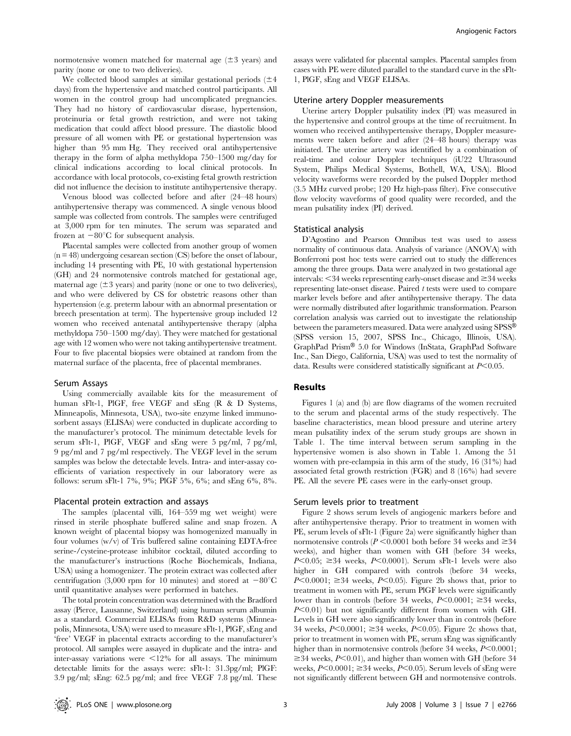normotensive women matched for maternal age  $(\pm 3 \text{ years})$  and parity (none or one to two deliveries).

We collected blood samples at similar gestational periods  $(\pm 4)$ days) from the hypertensive and matched control participants. All women in the control group had uncomplicated pregnancies. They had no history of cardiovascular disease, hypertension, proteinuria or fetal growth restriction, and were not taking medication that could affect blood pressure. The diastolic blood pressure of all women with PE or gestational hypertension was higher than 95 mm Hg. They received oral antihypertensive therapy in the form of alpha methyldopa 750–1500 mg/day for clinical indications according to local clinical protocols. In accordance with local protocols, co-existing fetal growth restriction did not influence the decision to institute antihypertensive therapy.

Venous blood was collected before and after (24–48 hours) antihypertensive therapy was commenced. A single venous blood sample was collected from controls. The samples were centrifuged at 3,000 rpm for ten minutes. The serum was separated and frozen at  $-80^{\circ}$ C for subsequent analysis.

Placental samples were collected from another group of women  $(n = 48)$  undergoing cesarean section  $(CS)$  before the onset of labour, including 14 presenting with PE, 10 with gestational hypertension (GH) and 24 normotensive controls matched for gestational age, maternal age  $(\pm 3$  years) and parity (none or one to two deliveries), and who were delivered by CS for obstetric reasons other than hypertension (e.g. preterm labour with an abnormal presentation or breech presentation at term). The hypertensive group included 12 women who received antenatal antihypertensive therapy (alpha methyldopa 750–1500 mg/day). They were matched for gestational age with 12 women who were not taking antihypertensive treatment. Four to five placental biopsies were obtained at random from the maternal surface of the placenta, free of placental membranes.

## Serum Assays

Using commercially available kits for the measurement of human sFlt-1, PlGF, free VEGF and sEng (R & D Systems, Minneapolis, Minnesota, USA), two-site enzyme linked immunosorbent assays (ELISAs) were conducted in duplicate according to the manufacturer's protocol. The minimum detectable levels for serum sFlt-1, PlGF, VEGF and sEng were 5 pg/ml, 7 pg/ml, 9 pg/ml and 7 pg/ml respectively. The VEGF level in the serum samples was below the detectable levels. Intra- and inter-assay coefficients of variation respectively in our laboratory were as follows: serum sFlt-1 7%, 9%; PlGF 5%, 6%; and sEng 6%, 8%.

#### Placental protein extraction and assays

The samples (placental villi, 164–559 mg wet weight) were rinsed in sterile phosphate buffered saline and snap frozen. A known weight of placental biopsy was homogenized manually in four volumes (w/v) of Tris buffered saline containing EDTA-free serine-/cysteine-protease inhibitor cocktail, diluted according to the manufacturer's instructions (Roche Biochemicals, Indiana, USA) using a homogenizer. The protein extract was collected after centrifugation (3,000 rpm for 10 minutes) and stored at  $-80^{\circ}$ C until quantitative analyses were performed in batches.

The total protein concentration was determined with the Bradford assay (Pierce, Lausanne, Switzerland) using human serum albumin as a standard. Commercial ELISAs from R&D systems (Minneapolis, Minnesota, USA) were used to measure sFlt-1, PlGF, sEng and 'free' VEGF in placental extracts according to the manufacturer's protocol. All samples were assayed in duplicate and the intra- and inter-assay variations were  $\leq 12\%$  for all assays. The minimum detectable limits for the assays were: sFlt-1: 31.3pg/ml; PlGF: 3.9 pg/ml; sEng: 62.5 pg/ml; and free VEGF 7.8 pg/ml. These

assays were validated for placental samples. Placental samples from cases with PE were diluted parallel to the standard curve in the sFlt-1, PlGF, sEng and VEGF ELISAs.

## Uterine artery Doppler measurements

Uterine artery Doppler pulsatility index (PI) was measured in the hypertensive and control groups at the time of recruitment. In women who received antihypertensive therapy, Doppler measurements were taken before and after (24–48 hours) therapy was initiated. The uterine artery was identified by a combination of real-time and colour Doppler techniques (iU22 Ultrasound System, Philips Medical Systems, Bothell, WA, USA). Blood velocity waveforms were recorded by the pulsed Doppler method (3.5 MHz curved probe; 120 Hz high-pass filter). Five consecutive flow velocity waveforms of good quality were recorded, and the mean pulsatility index (PI) derived.

#### Statistical analysis

D'Agostino and Pearson Omnibus test was used to assess normality of continuous data. Analysis of variance (ANOVA) with Bonferroni post hoc tests were carried out to study the differences among the three groups. Data were analyzed in two gestational age intervals:  $\leq$ 34 weeks representing early-onset disease and  $\geq$ 34 weeks representing late-onset disease. Paired  $t$  tests were used to compare marker levels before and after antihypertensive therapy. The data were normally distributed after logarithmic transformation. Pearson correlation analysis was carried out to investigate the relationship between the parameters measured. Data were analyzed using SPSS<sup>®</sup> (SPSS version 15, 2007, SPSS Inc., Chicago, Illinois, USA). GraphPad Prism® 5.0 for Windows (InStata, GraphPad Software Inc., San Diego, California, USA) was used to test the normality of data. Results were considered statistically significant at  $P<0.05$ .

#### Results

Figures 1 (a) and (b) are flow diagrams of the women recruited to the serum and placental arms of the study respectively. The baseline characteristics, mean blood pressure and uterine artery mean pulsatility index of the serum study groups are shown in Table 1. The time interval between serum sampling in the hypertensive women is also shown in Table 1. Among the 51 women with pre-eclampsia in this arm of the study, 16 (31%) had associated fetal growth restriction (FGR) and 8 (16%) had severe PE. All the severe PE cases were in the early-onset group.

#### Serum levels prior to treatment

Figure 2 shows serum levels of angiogenic markers before and after antihypertensive therapy. Prior to treatment in women with PE, serum levels of sFlt-1 (Figure 2a) were significantly higher than normotensive controls ( $P \le 0.0001$  both before 34 weeks and  $\ge 34$ weeks), and higher than women with GH (before 34 weeks,  $P<0.05$ ;  $\geq 34$  weeks,  $P<0.0001$ ). Serum sFlt-1 levels were also higher in GH compared with controls (before 34 weeks,  $P<0.0001$ ;  $\geq 34$  weeks,  $P<0.05$ ). Figure 2b shows that, prior to treatment in women with PE, serum PlGF levels were significantly lower than in controls (before 34 weeks,  $P<0.0001$ ;  $\geq 34$  weeks,  $P<0.01$ ) but not significantly different from women with GH. Levels in GH were also significantly lower than in controls (before 34 weeks,  $P<0.0001$ ;  $\geq$  34 weeks,  $P<0.05$ ). Figure 2c shows that, prior to treatment in women with PE, serum sEng was significantly higher than in normotensive controls (before 34 weeks,  $P<0.0001$ ;  $\geq$ 34 weeks, P<0.01), and higher than women with GH (before 34 weeks,  $P<0.0001$ ;  $\geq$  34 weeks,  $P<0.05$ ). Serum levels of sEng were not significantly different between GH and normotensive controls.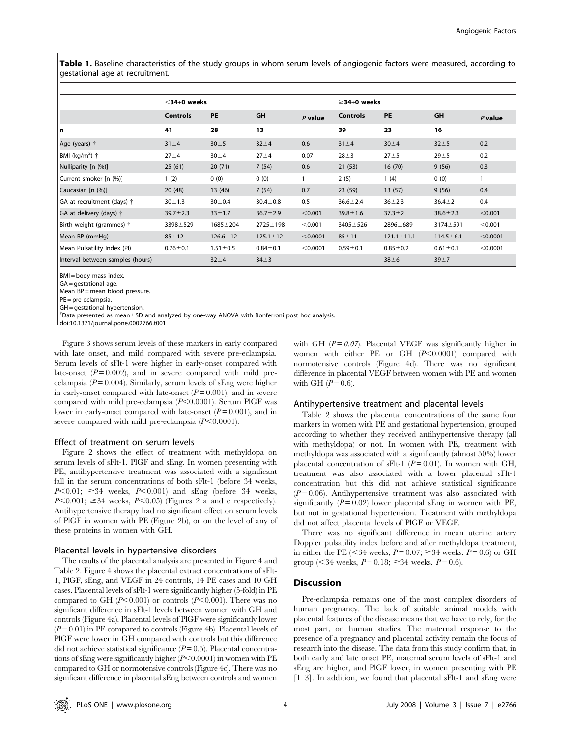Table 1. Baseline characteristics of the study groups in whom serum levels of angiogenic factors were measured, according to gestational age at recruitment.

|                                    | $<$ 34+0 weeks  |                |                |           |                 |                  | $\geq$ 34+0 weeks |           |  |  |
|------------------------------------|-----------------|----------------|----------------|-----------|-----------------|------------------|-------------------|-----------|--|--|
|                                    | <b>Controls</b> | <b>PE</b>      | GH             | $P$ value | <b>Controls</b> | PE               | GH                | $P$ value |  |  |
| l n                                | 41              | 28             | 13             |           | 39              | 23               | 16                |           |  |  |
| Age (years) †                      | $31 + 4$        | $30 \pm 5$     | $32 + 4$       | 0.6       | $31 + 4$        | $30 + 4$         | $32 + 5$          | 0.2       |  |  |
| BMI (kg/m <sup>2</sup> ) $\dagger$ | $27 + 4$        | $30 + 4$       | $27 + 4$       | 0.07      | $28 + 3$        | $27 + 5$         | $29 + 5$          | 0.2       |  |  |
| Nulliparity [n (%)]                | 25(61)          | 20(71)         | 7(54)          | 0.6       | 21(53)          | 16(70)           | 9(56)             | 0.3       |  |  |
| Current smoker [n (%)]             | 1(2)            | 0(0)           | 0(0)           |           | 2(5)            | 1(4)             | 0(0)              |           |  |  |
| Caucasian [n (%)]                  | 20(48)          | 13 (46)        | 7(54)          | 0.7       | 23(59)          | 13(57)           | 9(56)             | 0.4       |  |  |
| GA at recruitment (days) †         | $30 \pm 1.3$    | $30 + 0.4$     | $30.4 \pm 0.8$ | 0.5       | $36.6 \pm 2.4$  | $36 + 2.3$       | $36.4 \pm 2$      | 0.4       |  |  |
| GA at delivery (days) †            | $39.7 \pm 2.3$  | $33 \pm 1.7$   | $36.7 \pm 2.9$ | < 0.001   | $39.8 \pm 1.6$  | $37.3 \pm 2$     | $38.6 \pm 2.3$    | < 0.001   |  |  |
| Birth weight (grammes) †           | $3398 + 529$    | $1685 \pm 204$ | $2725 \pm 198$ | < 0.001   | $3405 \pm 526$  | 2896±689         | $3174 \pm 591$    | < 0.001   |  |  |
| Mean BP (mmHg)                     | $85 + 12$       | $126.6 \pm 12$ | $125.1 \pm 12$ | < 0.0001  | $85 + 11$       | $121.1 \pm 11.1$ | $114.5 \pm 6.1$   | < 0.0001  |  |  |
| Mean Pulsatility Index (PI)        | $0.76 \pm 0.1$  | $1.51 \pm 0.5$ | $0.84 + 0.1$   | < 0.0001  | $0.59 + 0.1$    | $0.85 - 0.2$     | $0.61 \pm 0.1$    | < 0.0001  |  |  |
| Interval between samples (hours)   |                 | $32 + 4$       | $34 \pm 3$     |           |                 | $38 \pm 6$       | $39 + 7$          |           |  |  |

BMI = body mass index.

GA = gestational age.

Mean BP = mean blood pressure.

PE = pre-eclampsia.

GH = gestational hypertension.

 $\dagger$ Data presented as mean $\pm$ SD and analyzed by one-way ANOVA with Bonferroni post hoc analysis.

doi:10.1371/journal.pone.0002766.t001

Figure 3 shows serum levels of these markers in early compared with late onset, and mild compared with severe pre-eclampsia. Serum levels of sFlt-1 were higher in early-onset compared with late-onset  $(P=0.002)$ , and in severe compared with mild preeclampsia ( $P = 0.004$ ). Similarly, serum levels of sEng were higher in early-onset compared with late-onset  $(P = 0.001)$ , and in severe compared with mild pre-eclampsia  $(P<0.0001)$ . Serum PlGF was lower in early-onset compared with late-onset  $(P=0.001)$ , and in severe compared with mild pre-eclampsia  $(P<0.0001)$ .

## Effect of treatment on serum levels

Figure 2 shows the effect of treatment with methyldopa on serum levels of sFlt-1, PlGF and sEng. In women presenting with PE, antihypertensive treatment was associated with a significant fall in the serum concentrations of both sFlt-1 (before 34 weeks,  $P<0.01$ ;  $\geq 34$  weeks,  $P<0.001$ ) and sEng (before 34 weeks,  $P<0.001$ ;  $\geq$  34 weeks,  $P<0.05$ ) (Figures 2 a and c respectively). Antihypertensive therapy had no significant effect on serum levels of PlGF in women with PE (Figure 2b), or on the level of any of these proteins in women with GH.

#### Placental levels in hypertensive disorders

The results of the placental analysis are presented in Figure 4 and Table 2. Figure 4 shows the placental extract concentrations of sFlt-1, PlGF, sEng, and VEGF in 24 controls, 14 PE cases and 10 GH cases. Placental levels of sFlt-1 were significantly higher (5-fold) in PE compared to GH ( $P<0.001$ ) or controls ( $P<0.001$ ). There was no significant difference in sFlt-1 levels between women with GH and controls (Figure 4a). Placental levels of PlGF were significantly lower  $(P= 0.01)$  in PE compared to controls (Figure 4b). Placental levels of PlGF were lower in GH compared with controls but this difference did not achieve statistical significance  $(P= 0.5)$ . Placental concentrations of sEng were significantly higher  $(P<0.0001)$  in women with PE compared to GH or normotensive controls (Figure 4c). There was no significant difference in placental sEng between controls and women with GH  $(P=0.07)$ . Placental VEGF was significantly higher in women with either PE or GH  $(P<0.0001)$  compared with normotensive controls (Figure 4d). There was no significant difference in placental VEGF between women with PE and women with GH  $(P= 0.6)$ .

#### Antihypertensive treatment and placental levels

Table 2 shows the placental concentrations of the same four markers in women with PE and gestational hypertension, grouped according to whether they received antihypertensive therapy (all with methyldopa) or not. In women with PE, treatment with methyldopa was associated with a significantly (almost 50%) lower placental concentration of sFlt-1 ( $P = 0.01$ ). In women with GH, treatment was also associated with a lower placental sFlt-1 concentration but this did not achieve statistical significance  $(P=0.06)$ . Antihypertensive treatment was also associated with significantly  $(P = 0.02)$  lower placental sEng in women with PE, but not in gestational hypertension. Treatment with methyldopa did not affect placental levels of PlGF or VEGF.

There was no significant difference in mean uterine artery Doppler pulsatility index before and after methyldopa treatment, in either the PE ( $\leq$ 34 weeks,  $P = 0.07$ ;  $\geq$ 34 weeks,  $P = 0.6$ ) or GH group (<34 weeks,  $P = 0.18$ ;  $\geq 34$  weeks,  $P = 0.6$ ).

#### Discussion

Pre-eclampsia remains one of the most complex disorders of human pregnancy. The lack of suitable animal models with placental features of the disease means that we have to rely, for the most part, on human studies. The maternal response to the presence of a pregnancy and placental activity remain the focus of research into the disease. The data from this study confirm that, in both early and late onset PE, maternal serum levels of sFlt-1 and sEng are higher, and PlGF lower, in women presenting with PE [1–3]. In addition, we found that placental sFlt-1 and sEng were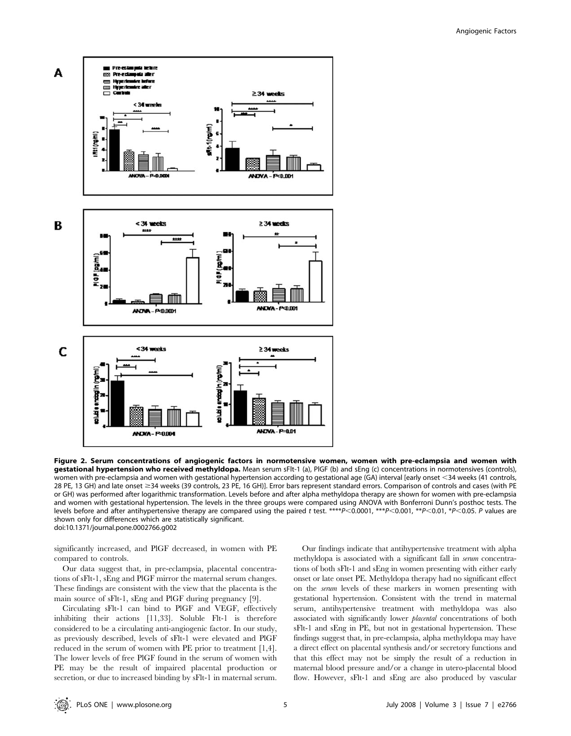

Figure 2. Serum concentrations of angiogenic factors in normotensive women, women with pre-eclampsia and women with gestational hypertension who received methyldopa. Mean serum sFlt-1 (a), PlGF (b) and sEng (c) concentrations in normotensives (controls), women with pre-eclampsia and women with gestational hypertension according to gestational age (GA) interval [early onset <34 weeks (41 controls, 28 PE, 13 GH) and late onset ≥34 weeks (39 controls, 23 PE, 16 GH)]. Error bars represent standard errors. Comparison of controls and cases (with PE or GH) was performed after logarithmic transformation. Levels before and after alpha methyldopa therapy are shown for women with pre-eclampsia and women with gestational hypertension. The levels in the three groups were compared using ANOVA with Bonferroni Dunn's posthoc tests. The levels before and after antihypertensive therapy are compared using the paired t test. \*\*\*\*P<0.0001, \*\*\*P<0.001, \*\*P<0.001, \*P<0.05. P values are shown only for differences which are statistically significant. doi:10.1371/journal.pone.0002766.g002

significantly increased, and PlGF decreased, in women with PE compared to controls.

Our data suggest that, in pre-eclampsia, placental concentrations of sFlt-1, sEng and PlGF mirror the maternal serum changes. These findings are consistent with the view that the placenta is the main source of sFlt-1, sEng and PlGF during pregnancy [9].

Circulating sFlt-1 can bind to PlGF and VEGF, effectively inhibiting their actions [11,33]. Soluble Flt-1 is therefore considered to be a circulating anti-angiogenic factor. In our study, as previously described, levels of sFlt-1 were elevated and PlGF reduced in the serum of women with PE prior to treatment [1,4]. The lower levels of free PlGF found in the serum of women with PE may be the result of impaired placental production or secretion, or due to increased binding by sFlt-1 in maternal serum.

Our findings indicate that antihypertensive treatment with alpha methyldopa is associated with a significant fall in serum concentrations of both sFlt-1 and sEng in women presenting with either early onset or late onset PE. Methyldopa therapy had no significant effect on the serum levels of these markers in women presenting with gestational hypertension. Consistent with the trend in maternal serum, antihypertensive treatment with methyldopa was also associated with significantly lower placental concentrations of both sFlt-1 and sEng in PE, but not in gestational hypertension. These findings suggest that, in pre-eclampsia, alpha methyldopa may have a direct effect on placental synthesis and/or secretory functions and that this effect may not be simply the result of a reduction in maternal blood pressure and/or a change in utero-placental blood flow. However, sFlt-1 and sEng are also produced by vascular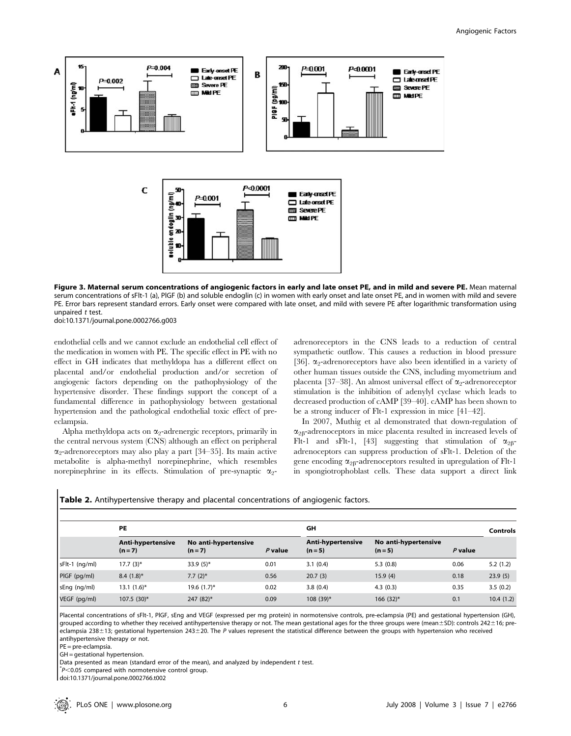

Figure 3. Maternal serum concentrations of angiogenic factors in early and late onset PE, and in mild and severe PE. Mean maternal serum concentrations of sFlt-1 (a), PlGF (b) and soluble endoglin (c) in women with early onset and late onset PE, and in women with mild and severe PE. Error bars represent standard errors. Early onset were compared with late onset, and mild with severe PE after logarithmic transformation using unpaired t test.

doi:10.1371/journal.pone.0002766.g003

endothelial cells and we cannot exclude an endothelial cell effect of the medication in women with PE. The specific effect in PE with no effect in GH indicates that methyldopa has a different effect on placental and/or endothelial production and/or secretion of angiogenic factors depending on the pathophysiology of the hypertensive disorder. These findings support the concept of a fundamental difference in pathophysiology between gestational hypertension and the pathological endothelial toxic effect of preeclampsia.

Alpha methyldopa acts on  $\alpha_2$ -adrenergic receptors, primarily in the central nervous system (CNS) although an effect on peripheral  $\alpha$ -adrenoreceptors may also play a part [34–35]. Its main active metabolite is alpha-methyl norepinephrine, which resembles norepinephrine in its effects. Stimulation of pre-synaptic  $\alpha_2$ - adrenoreceptors in the CNS leads to a reduction of central sympathetic outflow. This causes a reduction in blood pressure [36].  $\alpha_2$ -adrenoreceptors have also been identified in a variety of other human tissues outside the CNS, including myometrium and placenta [37–38]. An almost universal effect of  $\alpha_2$ -adrenoreceptor stimulation is the inhibition of adenylyl cyclase which leads to decreased production of cAMP [39–40]. cAMP has been shown to be a strong inducer of Flt-1 expression in mice [41–42].

In 2007, Muthig et al demonstrated that down-regulation of  $\alpha_{2\beta}$ -adrenoceptors in mice placenta resulted in increased levels of Flt-1 and sFlt-1, [43] suggesting that stimulation of  $\alpha_{2B}$ adrenoceptors can suppress production of sFlt-1. Deletion of the gene encoding  $\alpha_{2\beta}$ -adrenoceptors resulted in upregulation of Flt-1 in spongiotrophoblast cells. These data support a direct link

|                | PE                           |                                 |           | GH                           | <b>Controls</b>                   |           |           |
|----------------|------------------------------|---------------------------------|-----------|------------------------------|-----------------------------------|-----------|-----------|
|                | Anti-hypertensive<br>$(n=7)$ | No anti-hypertensive<br>$(n=7)$ | $P$ value | Anti-hypertensive<br>$(n=5)$ | No anti-hypertensive<br>$(n = 5)$ | $P$ value |           |
| sFlt-1 (ng/ml) | $17.7(3)$ *                  | $33.9(5)$ *                     | 0.01      | 3.1(0.4)                     | 5.3(0.8)                          | 0.06      | 5.2(1.2)  |
| PIGF (pg/ml)   | $8.4(1.8)$ *                 | $7.7(2)$ *                      | 0.56      | 20.7(3)                      | 15.9(4)                           | 0.18      | 23.9(5)   |
| sEng (ng/ml)   | $13.1 (1.6)^*$               | $19.6(1.7)^{*}$                 | 0.02      | 3.8(0.4)                     | 4.3(0.3)                          | 0.35      | 3.5(0.2)  |
| VEGF (pg/ml)   | $107.5(30)$ *                | 247 (82)*                       | 0.09      | 108 (39)*                    | $166(32)$ *                       | 0.1       | 10.4(1.2) |

Table 2. Antihypertensive therapy and placental concentrations of angiogenic factors.

Placental concentrations of sFlt-1, PIGF, sEng and VEGF (expressed per mg protein) in normotensive controls, pre-eclampsia (PE) and gestational hypertension (GH), grouped according to whether they received antihypertensive therapy or not. The mean gestational ages for the three groups were (mean±SD): controls 242±16; preeclampsia 238 $\pm$ 13; gestational hypertension 243 $\pm$ 20. The P values represent the statistical difference between the groups with hypertension who received antihypertensive therapy or not.

PE = pre-eclampsia.

GH = gestational hypertension.

Data presented as mean (standard error of the mean), and analyzed by independent  $t$  test.

 $\mathrm{P}$ <0.05 compared with normotensive control group.

doi:10.1371/journal.pone.0002766.t002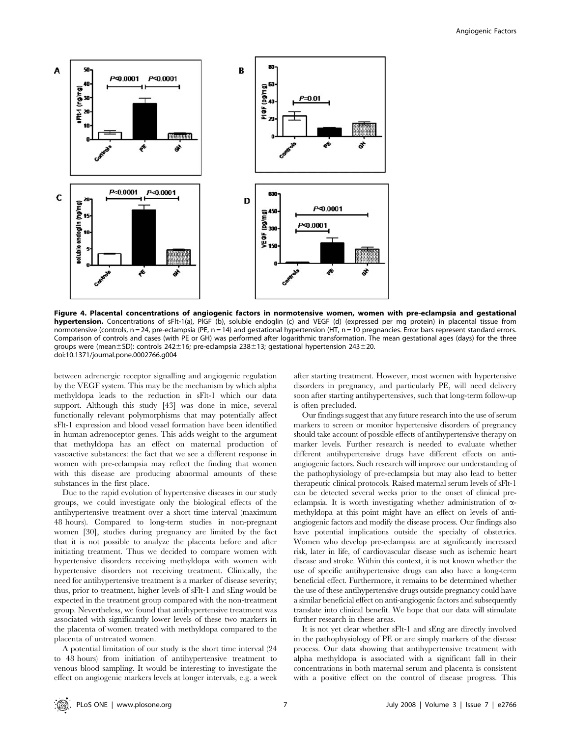

Figure 4. Placental concentrations of angiogenic factors in normotensive women, women with pre-eclampsia and gestational hypertension. Concentrations of sFlt-1(a), PlGF (b), soluble endoglin (c) and VEGF (d) (expressed per mg protein) in placental tissue from normotensive (controls, n = 24, pre-eclampsia (PE, n = 14) and gestational hypertension (HT, n = 10 pregnancies. Error bars represent standard errors. Comparison of controls and cases (with PE or GH) was performed after logarithmic transformation. The mean gestational ages (days) for the three groups were (mean±SD): controls 242±16; pre-eclampsia 238±13; gestational hypertension 243±20. doi:10.1371/journal.pone.0002766.g004

between adrenergic receptor signalling and angiogenic regulation by the VEGF system. This may be the mechanism by which alpha methyldopa leads to the reduction in sFlt-1 which our data support. Although this study [43] was done in mice, several functionally relevant polymorphisms that may potentially affect sFlt-1 expression and blood vessel formation have been identified in human adrenoceptor genes. This adds weight to the argument that methyldopa has an effect on maternal production of vasoactive substances: the fact that we see a different response in women with pre-eclampsia may reflect the finding that women with this disease are producing abnormal amounts of these substances in the first place.

Due to the rapid evolution of hypertensive diseases in our study groups, we could investigate only the biological effects of the antihypertensive treatment over a short time interval (maximum 48 hours). Compared to long-term studies in non-pregnant women [30], studies during pregnancy are limited by the fact that it is not possible to analyze the placenta before and after initiating treatment. Thus we decided to compare women with hypertensive disorders receiving methyldopa with women with hypertensive disorders not receiving treatment. Clinically, the need for antihypertensive treatment is a marker of disease severity; thus, prior to treatment, higher levels of sFlt-1 and sEng would be expected in the treatment group compared with the non-treatment group. Nevertheless, we found that antihypertensive treatment was associated with significantly lower levels of these two markers in the placenta of women treated with methyldopa compared to the placenta of untreated women.

A potential limitation of our study is the short time interval (24 to 48 hours) from initiation of antihypertensive treatment to venous blood sampling. It would be interesting to investigate the effect on angiogenic markers levels at longer intervals, e.g. a week after starting treatment. However, most women with hypertensive disorders in pregnancy, and particularly PE, will need delivery soon after starting antihypertensives, such that long-term follow-up is often precluded.

Our findings suggest that any future research into the use of serum markers to screen or monitor hypertensive disorders of pregnancy should take account of possible effects of antihypertensive therapy on marker levels. Further research is needed to evaluate whether different antihypertensive drugs have different effects on antiangiogenic factors. Such research will improve our understanding of the pathophysiology of pre-eclampsia but may also lead to better therapeutic clinical protocols. Raised maternal serum levels of sFlt-1 can be detected several weeks prior to the onset of clinical preeclampsia. It is worth investigating whether administration of  $\alpha$ methyldopa at this point might have an effect on levels of antiangiogenic factors and modify the disease process. Our findings also have potential implications outside the specialty of obstetrics. Women who develop pre-eclampsia are at significantly increased risk, later in life, of cardiovascular disease such as ischemic heart disease and stroke. Within this context, it is not known whether the use of specific antihypertensive drugs can also have a long-term beneficial effect. Furthermore, it remains to be determined whether the use of these antihypertensive drugs outside pregnancy could have a similar beneficial effect on anti-angiogenic factors and subsequently translate into clinical benefit. We hope that our data will stimulate further research in these areas.

It is not yet clear whether sFlt-1 and sEng are directly involved in the pathophysiology of PE or are simply markers of the disease process. Our data showing that antihypertensive treatment with alpha methyldopa is associated with a significant fall in their concentrations in both maternal serum and placenta is consistent with a positive effect on the control of disease progress. This